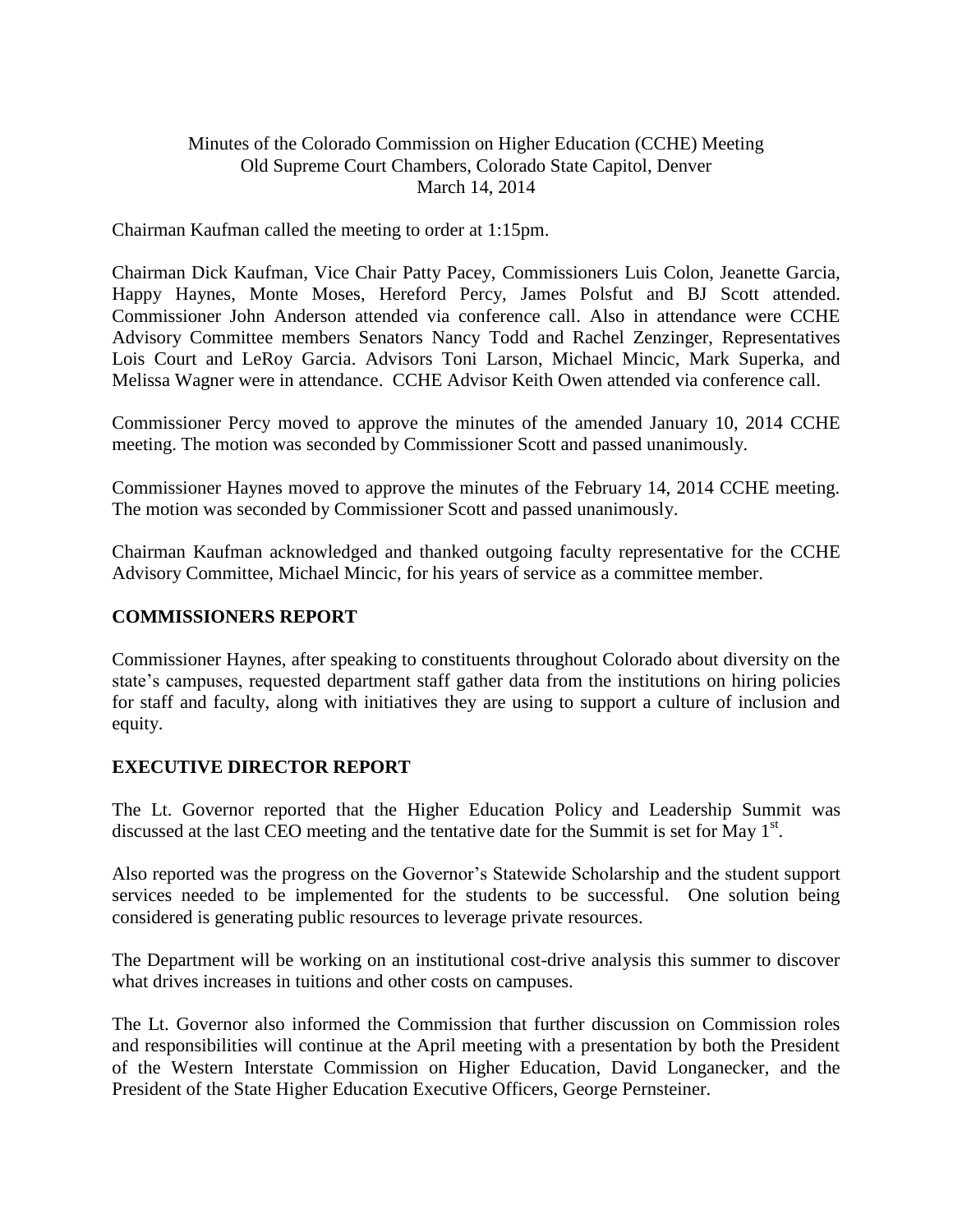# Minutes of the Colorado Commission on Higher Education (CCHE) Meeting Old Supreme Court Chambers, Colorado State Capitol, Denver March 14, 2014

Chairman Kaufman called the meeting to order at 1:15pm.

Chairman Dick Kaufman, Vice Chair Patty Pacey, Commissioners Luis Colon, Jeanette Garcia, Happy Haynes, Monte Moses, Hereford Percy, James Polsfut and BJ Scott attended. Commissioner John Anderson attended via conference call. Also in attendance were CCHE Advisory Committee members Senators Nancy Todd and Rachel Zenzinger, Representatives Lois Court and LeRoy Garcia. Advisors Toni Larson, Michael Mincic, Mark Superka, and Melissa Wagner were in attendance. CCHE Advisor Keith Owen attended via conference call.

Commissioner Percy moved to approve the minutes of the amended January 10, 2014 CCHE meeting. The motion was seconded by Commissioner Scott and passed unanimously.

Commissioner Haynes moved to approve the minutes of the February 14, 2014 CCHE meeting. The motion was seconded by Commissioner Scott and passed unanimously.

Chairman Kaufman acknowledged and thanked outgoing faculty representative for the CCHE Advisory Committee, Michael Mincic, for his years of service as a committee member.

## **COMMISSIONERS REPORT**

Commissioner Haynes, after speaking to constituents throughout Colorado about diversity on the state's campuses, requested department staff gather data from the institutions on hiring policies for staff and faculty, along with initiatives they are using to support a culture of inclusion and equity.

## **EXECUTIVE DIRECTOR REPORT**

The Lt. Governor reported that the Higher Education Policy and Leadership Summit was discussed at the last CEO meeting and the tentative date for the Summit is set for May  $1<sup>st</sup>$ .

Also reported was the progress on the Governor's Statewide Scholarship and the student support services needed to be implemented for the students to be successful. One solution being considered is generating public resources to leverage private resources.

The Department will be working on an institutional cost-drive analysis this summer to discover what drives increases in tuitions and other costs on campuses.

The Lt. Governor also informed the Commission that further discussion on Commission roles and responsibilities will continue at the April meeting with a presentation by both the President of the Western Interstate Commission on Higher Education, David Longanecker, and the President of the State Higher Education Executive Officers, George Pernsteiner.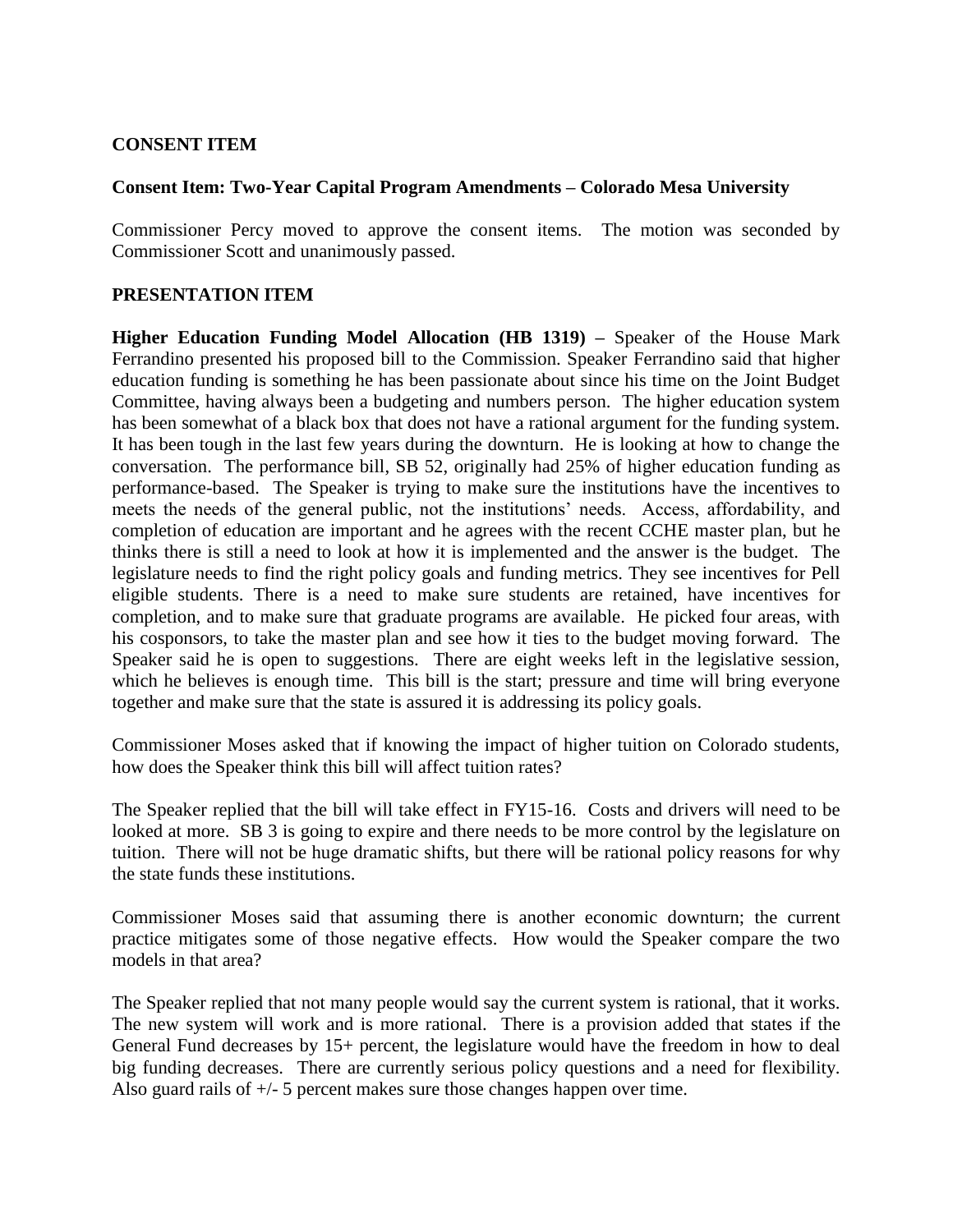# **CONSENT ITEM**

## **Consent Item: Two-Year Capital Program Amendments – Colorado Mesa University**

Commissioner Percy moved to approve the consent items. The motion was seconded by Commissioner Scott and unanimously passed.

# **PRESENTATION ITEM**

**Higher Education Funding Model Allocation (HB 1319) –** Speaker of the House Mark Ferrandino presented his proposed bill to the Commission. Speaker Ferrandino said that higher education funding is something he has been passionate about since his time on the Joint Budget Committee, having always been a budgeting and numbers person. The higher education system has been somewhat of a black box that does not have a rational argument for the funding system. It has been tough in the last few years during the downturn. He is looking at how to change the conversation. The performance bill, SB 52, originally had 25% of higher education funding as performance-based. The Speaker is trying to make sure the institutions have the incentives to meets the needs of the general public, not the institutions' needs. Access, affordability, and completion of education are important and he agrees with the recent CCHE master plan, but he thinks there is still a need to look at how it is implemented and the answer is the budget. The legislature needs to find the right policy goals and funding metrics. They see incentives for Pell eligible students. There is a need to make sure students are retained, have incentives for completion, and to make sure that graduate programs are available. He picked four areas, with his cosponsors, to take the master plan and see how it ties to the budget moving forward. The Speaker said he is open to suggestions. There are eight weeks left in the legislative session, which he believes is enough time. This bill is the start; pressure and time will bring everyone together and make sure that the state is assured it is addressing its policy goals.

Commissioner Moses asked that if knowing the impact of higher tuition on Colorado students, how does the Speaker think this bill will affect tuition rates?

The Speaker replied that the bill will take effect in FY15-16. Costs and drivers will need to be looked at more. SB 3 is going to expire and there needs to be more control by the legislature on tuition. There will not be huge dramatic shifts, but there will be rational policy reasons for why the state funds these institutions.

Commissioner Moses said that assuming there is another economic downturn; the current practice mitigates some of those negative effects. How would the Speaker compare the two models in that area?

The Speaker replied that not many people would say the current system is rational, that it works. The new system will work and is more rational. There is a provision added that states if the General Fund decreases by 15+ percent, the legislature would have the freedom in how to deal big funding decreases. There are currently serious policy questions and a need for flexibility. Also guard rails of +/- 5 percent makes sure those changes happen over time.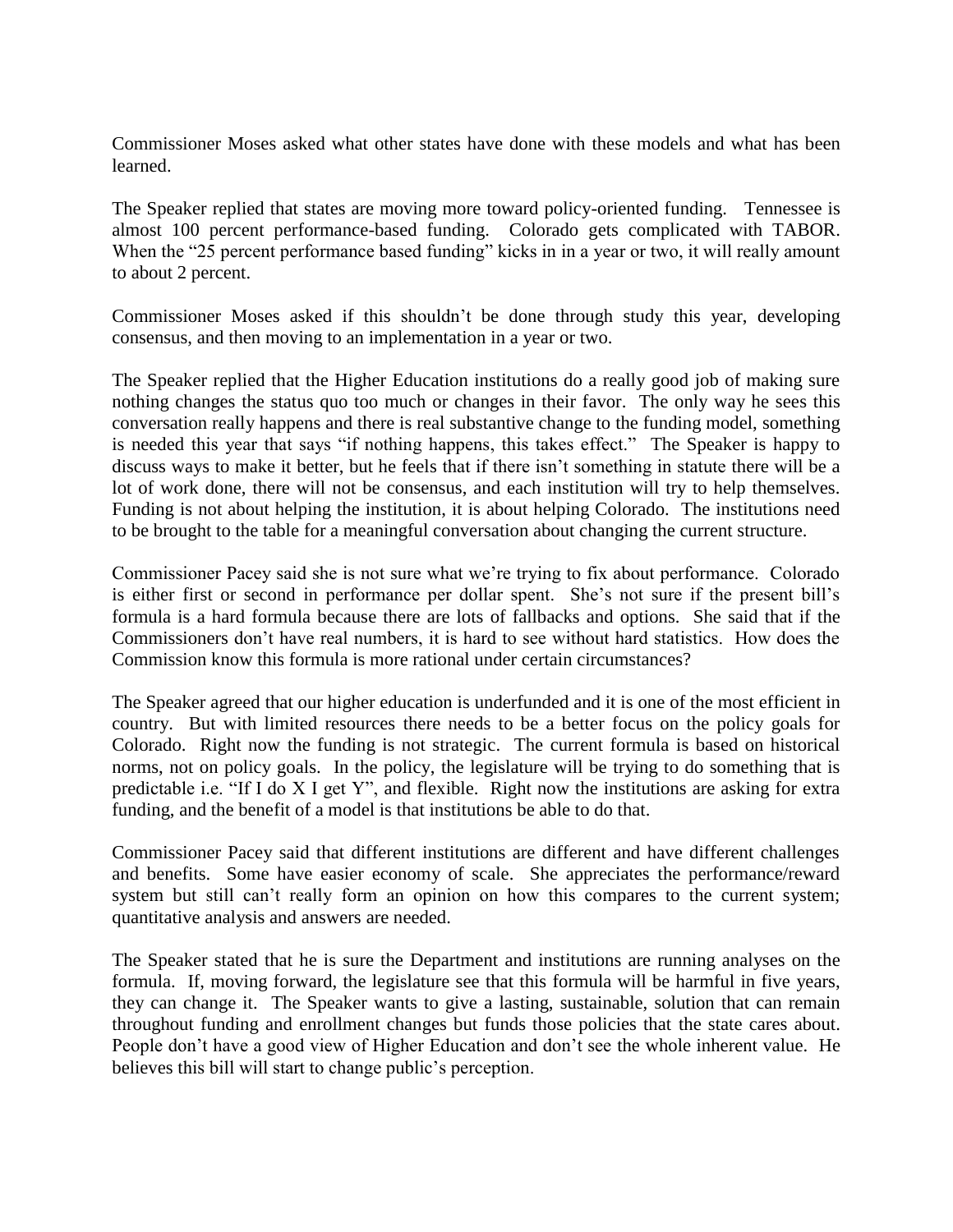Commissioner Moses asked what other states have done with these models and what has been learned.

The Speaker replied that states are moving more toward policy-oriented funding. Tennessee is almost 100 percent performance-based funding. Colorado gets complicated with TABOR. When the "25 percent performance based funding" kicks in in a year or two, it will really amount to about 2 percent.

Commissioner Moses asked if this shouldn't be done through study this year, developing consensus, and then moving to an implementation in a year or two.

The Speaker replied that the Higher Education institutions do a really good job of making sure nothing changes the status quo too much or changes in their favor. The only way he sees this conversation really happens and there is real substantive change to the funding model, something is needed this year that says "if nothing happens, this takes effect." The Speaker is happy to discuss ways to make it better, but he feels that if there isn't something in statute there will be a lot of work done, there will not be consensus, and each institution will try to help themselves. Funding is not about helping the institution, it is about helping Colorado. The institutions need to be brought to the table for a meaningful conversation about changing the current structure.

Commissioner Pacey said she is not sure what we're trying to fix about performance. Colorado is either first or second in performance per dollar spent. She's not sure if the present bill's formula is a hard formula because there are lots of fallbacks and options. She said that if the Commissioners don't have real numbers, it is hard to see without hard statistics. How does the Commission know this formula is more rational under certain circumstances?

The Speaker agreed that our higher education is underfunded and it is one of the most efficient in country. But with limited resources there needs to be a better focus on the policy goals for Colorado. Right now the funding is not strategic. The current formula is based on historical norms, not on policy goals. In the policy, the legislature will be trying to do something that is predictable i.e. "If I do X I get Y", and flexible. Right now the institutions are asking for extra funding, and the benefit of a model is that institutions be able to do that.

Commissioner Pacey said that different institutions are different and have different challenges and benefits. Some have easier economy of scale. She appreciates the performance/reward system but still can't really form an opinion on how this compares to the current system; quantitative analysis and answers are needed.

The Speaker stated that he is sure the Department and institutions are running analyses on the formula. If, moving forward, the legislature see that this formula will be harmful in five years, they can change it. The Speaker wants to give a lasting, sustainable, solution that can remain throughout funding and enrollment changes but funds those policies that the state cares about. People don't have a good view of Higher Education and don't see the whole inherent value. He believes this bill will start to change public's perception.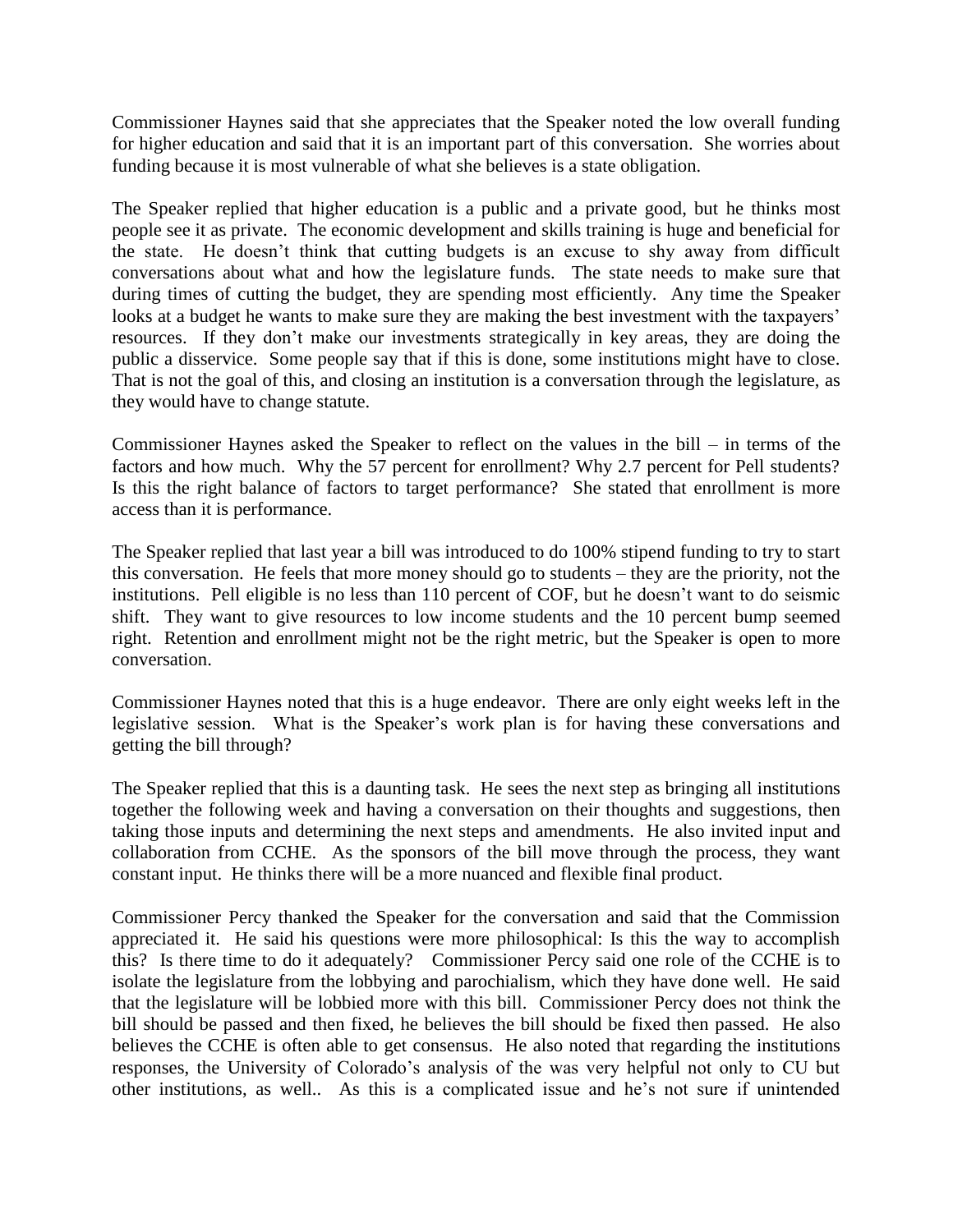Commissioner Haynes said that she appreciates that the Speaker noted the low overall funding for higher education and said that it is an important part of this conversation. She worries about funding because it is most vulnerable of what she believes is a state obligation.

The Speaker replied that higher education is a public and a private good, but he thinks most people see it as private. The economic development and skills training is huge and beneficial for the state. He doesn't think that cutting budgets is an excuse to shy away from difficult conversations about what and how the legislature funds. The state needs to make sure that during times of cutting the budget, they are spending most efficiently. Any time the Speaker looks at a budget he wants to make sure they are making the best investment with the taxpayers' resources. If they don't make our investments strategically in key areas, they are doing the public a disservice. Some people say that if this is done, some institutions might have to close. That is not the goal of this, and closing an institution is a conversation through the legislature, as they would have to change statute.

Commissioner Haynes asked the Speaker to reflect on the values in the bill – in terms of the factors and how much. Why the 57 percent for enrollment? Why 2.7 percent for Pell students? Is this the right balance of factors to target performance? She stated that enrollment is more access than it is performance.

The Speaker replied that last year a bill was introduced to do 100% stipend funding to try to start this conversation. He feels that more money should go to students – they are the priority, not the institutions. Pell eligible is no less than 110 percent of COF, but he doesn't want to do seismic shift. They want to give resources to low income students and the 10 percent bump seemed right. Retention and enrollment might not be the right metric, but the Speaker is open to more conversation.

Commissioner Haynes noted that this is a huge endeavor. There are only eight weeks left in the legislative session. What is the Speaker's work plan is for having these conversations and getting the bill through?

The Speaker replied that this is a daunting task. He sees the next step as bringing all institutions together the following week and having a conversation on their thoughts and suggestions, then taking those inputs and determining the next steps and amendments. He also invited input and collaboration from CCHE. As the sponsors of the bill move through the process, they want constant input. He thinks there will be a more nuanced and flexible final product.

Commissioner Percy thanked the Speaker for the conversation and said that the Commission appreciated it. He said his questions were more philosophical: Is this the way to accomplish this? Is there time to do it adequately? Commissioner Percy said one role of the CCHE is to isolate the legislature from the lobbying and parochialism, which they have done well. He said that the legislature will be lobbied more with this bill. Commissioner Percy does not think the bill should be passed and then fixed, he believes the bill should be fixed then passed. He also believes the CCHE is often able to get consensus. He also noted that regarding the institutions responses, the University of Colorado's analysis of the was very helpful not only to CU but other institutions, as well.. As this is a complicated issue and he's not sure if unintended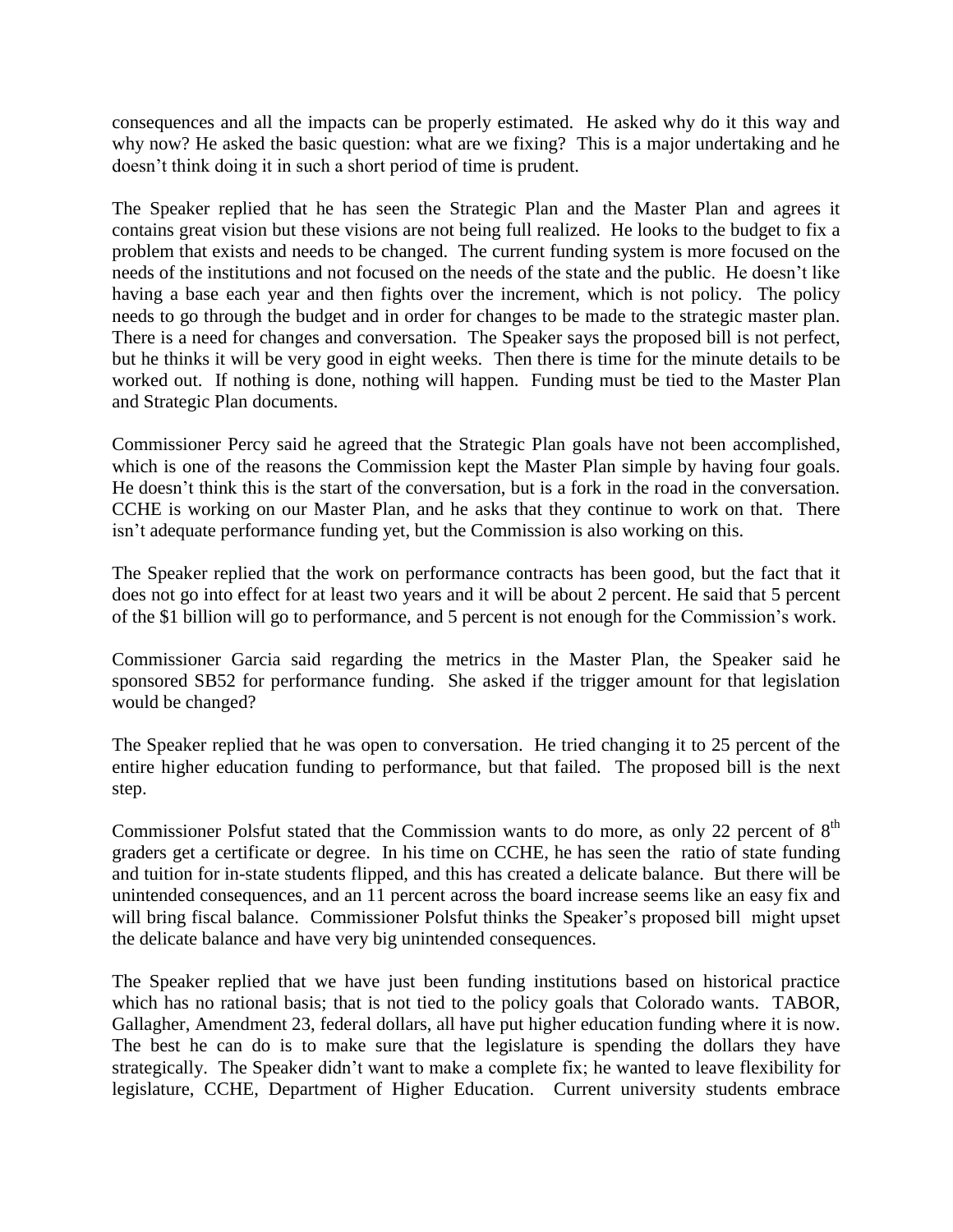consequences and all the impacts can be properly estimated. He asked why do it this way and why now? He asked the basic question: what are we fixing? This is a major undertaking and he doesn't think doing it in such a short period of time is prudent.

The Speaker replied that he has seen the Strategic Plan and the Master Plan and agrees it contains great vision but these visions are not being full realized. He looks to the budget to fix a problem that exists and needs to be changed. The current funding system is more focused on the needs of the institutions and not focused on the needs of the state and the public. He doesn't like having a base each year and then fights over the increment, which is not policy. The policy needs to go through the budget and in order for changes to be made to the strategic master plan. There is a need for changes and conversation. The Speaker says the proposed bill is not perfect, but he thinks it will be very good in eight weeks. Then there is time for the minute details to be worked out. If nothing is done, nothing will happen. Funding must be tied to the Master Plan and Strategic Plan documents.

Commissioner Percy said he agreed that the Strategic Plan goals have not been accomplished, which is one of the reasons the Commission kept the Master Plan simple by having four goals. He doesn't think this is the start of the conversation, but is a fork in the road in the conversation. CCHE is working on our Master Plan, and he asks that they continue to work on that. There isn't adequate performance funding yet, but the Commission is also working on this.

The Speaker replied that the work on performance contracts has been good, but the fact that it does not go into effect for at least two years and it will be about 2 percent. He said that 5 percent of the \$1 billion will go to performance, and 5 percent is not enough for the Commission's work.

Commissioner Garcia said regarding the metrics in the Master Plan, the Speaker said he sponsored SB52 for performance funding. She asked if the trigger amount for that legislation would be changed?

The Speaker replied that he was open to conversation. He tried changing it to 25 percent of the entire higher education funding to performance, but that failed. The proposed bill is the next step.

Commissioner Polsfut stated that the Commission wants to do more, as only 22 percent of 8<sup>th</sup> graders get a certificate or degree. In his time on CCHE, he has seen the ratio of state funding and tuition for in-state students flipped, and this has created a delicate balance. But there will be unintended consequences, and an 11 percent across the board increase seems like an easy fix and will bring fiscal balance. Commissioner Polsfut thinks the Speaker's proposed bill might upset the delicate balance and have very big unintended consequences.

The Speaker replied that we have just been funding institutions based on historical practice which has no rational basis; that is not tied to the policy goals that Colorado wants. TABOR, Gallagher, Amendment 23, federal dollars, all have put higher education funding where it is now. The best he can do is to make sure that the legislature is spending the dollars they have strategically. The Speaker didn't want to make a complete fix; he wanted to leave flexibility for legislature, CCHE, Department of Higher Education. Current university students embrace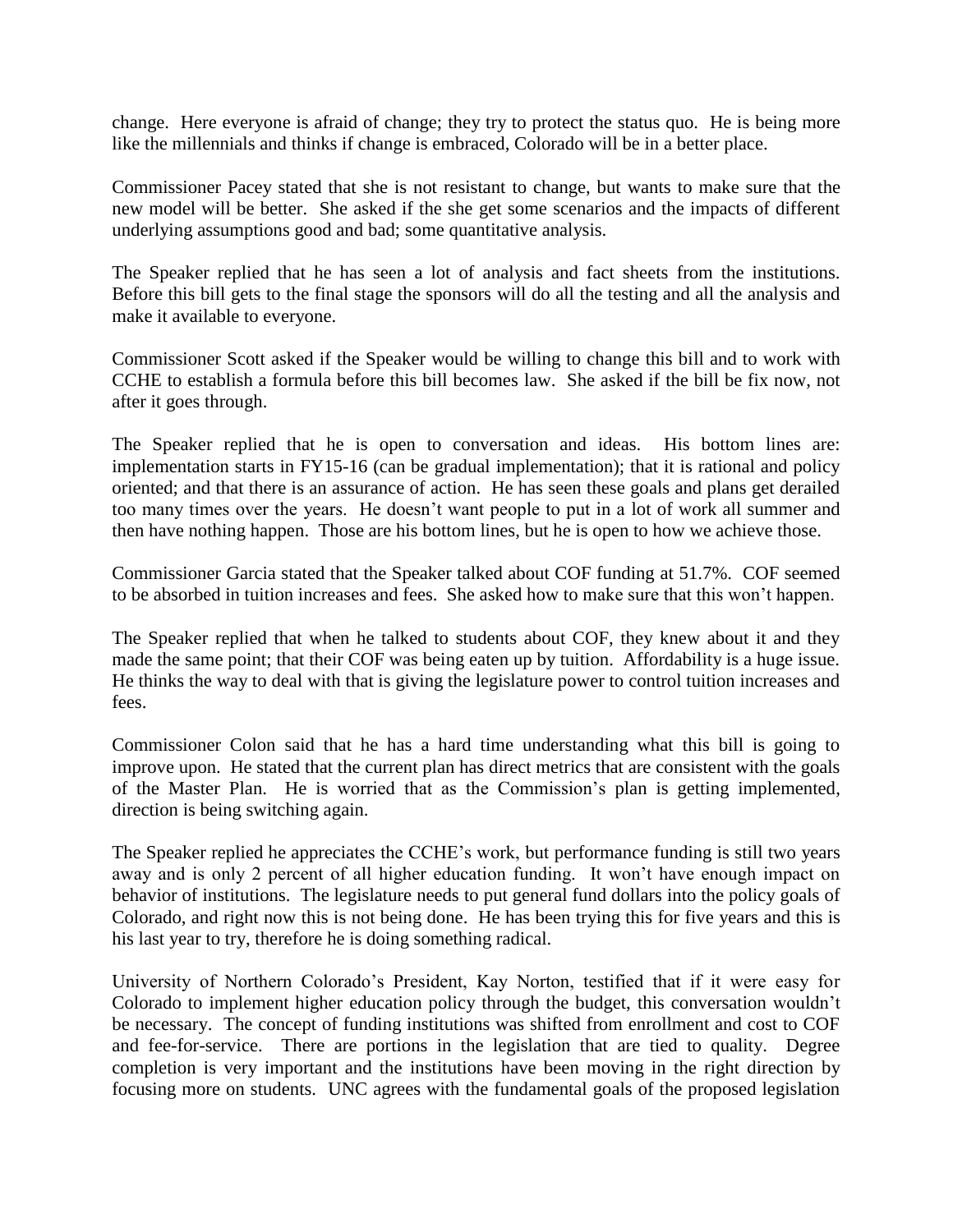change. Here everyone is afraid of change; they try to protect the status quo. He is being more like the millennials and thinks if change is embraced, Colorado will be in a better place.

Commissioner Pacey stated that she is not resistant to change, but wants to make sure that the new model will be better. She asked if the she get some scenarios and the impacts of different underlying assumptions good and bad; some quantitative analysis.

The Speaker replied that he has seen a lot of analysis and fact sheets from the institutions. Before this bill gets to the final stage the sponsors will do all the testing and all the analysis and make it available to everyone.

Commissioner Scott asked if the Speaker would be willing to change this bill and to work with CCHE to establish a formula before this bill becomes law. She asked if the bill be fix now, not after it goes through.

The Speaker replied that he is open to conversation and ideas. His bottom lines are: implementation starts in FY15-16 (can be gradual implementation); that it is rational and policy oriented; and that there is an assurance of action. He has seen these goals and plans get derailed too many times over the years. He doesn't want people to put in a lot of work all summer and then have nothing happen. Those are his bottom lines, but he is open to how we achieve those.

Commissioner Garcia stated that the Speaker talked about COF funding at 51.7%. COF seemed to be absorbed in tuition increases and fees. She asked how to make sure that this won't happen.

The Speaker replied that when he talked to students about COF, they knew about it and they made the same point; that their COF was being eaten up by tuition. Affordability is a huge issue. He thinks the way to deal with that is giving the legislature power to control tuition increases and fees.

Commissioner Colon said that he has a hard time understanding what this bill is going to improve upon. He stated that the current plan has direct metrics that are consistent with the goals of the Master Plan. He is worried that as the Commission's plan is getting implemented, direction is being switching again.

The Speaker replied he appreciates the CCHE's work, but performance funding is still two years away and is only 2 percent of all higher education funding. It won't have enough impact on behavior of institutions. The legislature needs to put general fund dollars into the policy goals of Colorado, and right now this is not being done. He has been trying this for five years and this is his last year to try, therefore he is doing something radical.

University of Northern Colorado's President, Kay Norton, testified that if it were easy for Colorado to implement higher education policy through the budget, this conversation wouldn't be necessary. The concept of funding institutions was shifted from enrollment and cost to COF and fee-for-service. There are portions in the legislation that are tied to quality. Degree completion is very important and the institutions have been moving in the right direction by focusing more on students. UNC agrees with the fundamental goals of the proposed legislation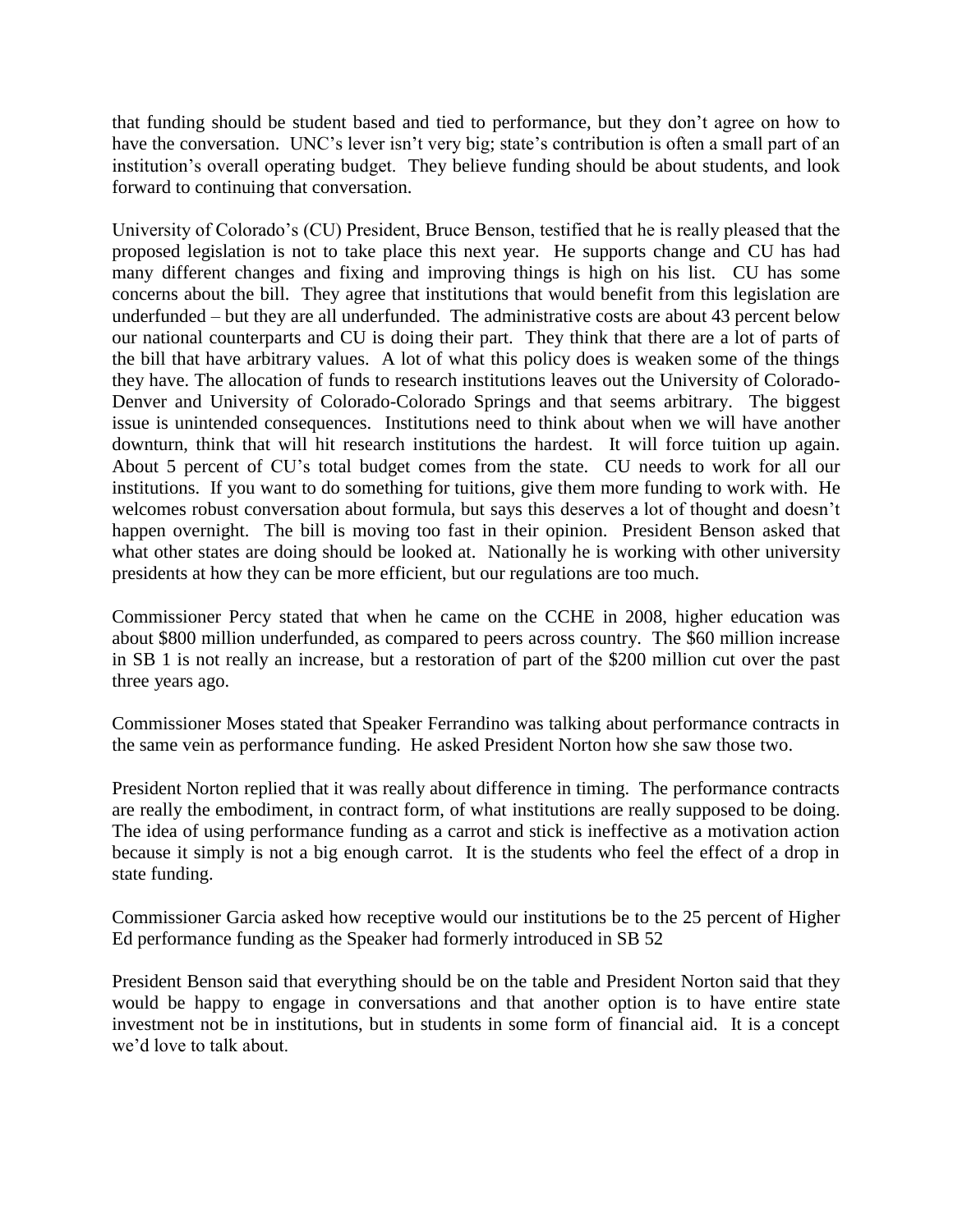that funding should be student based and tied to performance, but they don't agree on how to have the conversation. UNC's lever isn't very big; state's contribution is often a small part of an institution's overall operating budget. They believe funding should be about students, and look forward to continuing that conversation.

University of Colorado's (CU) President, Bruce Benson, testified that he is really pleased that the proposed legislation is not to take place this next year. He supports change and CU has had many different changes and fixing and improving things is high on his list. CU has some concerns about the bill. They agree that institutions that would benefit from this legislation are underfunded – but they are all underfunded. The administrative costs are about 43 percent below our national counterparts and CU is doing their part. They think that there are a lot of parts of the bill that have arbitrary values. A lot of what this policy does is weaken some of the things they have. The allocation of funds to research institutions leaves out the University of Colorado-Denver and University of Colorado-Colorado Springs and that seems arbitrary. The biggest issue is unintended consequences. Institutions need to think about when we will have another downturn, think that will hit research institutions the hardest. It will force tuition up again. About 5 percent of CU's total budget comes from the state. CU needs to work for all our institutions. If you want to do something for tuitions, give them more funding to work with. He welcomes robust conversation about formula, but says this deserves a lot of thought and doesn't happen overnight. The bill is moving too fast in their opinion. President Benson asked that what other states are doing should be looked at. Nationally he is working with other university presidents at how they can be more efficient, but our regulations are too much.

Commissioner Percy stated that when he came on the CCHE in 2008, higher education was about \$800 million underfunded, as compared to peers across country. The \$60 million increase in SB 1 is not really an increase, but a restoration of part of the \$200 million cut over the past three years ago.

Commissioner Moses stated that Speaker Ferrandino was talking about performance contracts in the same vein as performance funding. He asked President Norton how she saw those two.

President Norton replied that it was really about difference in timing. The performance contracts are really the embodiment, in contract form, of what institutions are really supposed to be doing. The idea of using performance funding as a carrot and stick is ineffective as a motivation action because it simply is not a big enough carrot. It is the students who feel the effect of a drop in state funding.

Commissioner Garcia asked how receptive would our institutions be to the 25 percent of Higher Ed performance funding as the Speaker had formerly introduced in SB 52

President Benson said that everything should be on the table and President Norton said that they would be happy to engage in conversations and that another option is to have entire state investment not be in institutions, but in students in some form of financial aid. It is a concept we'd love to talk about.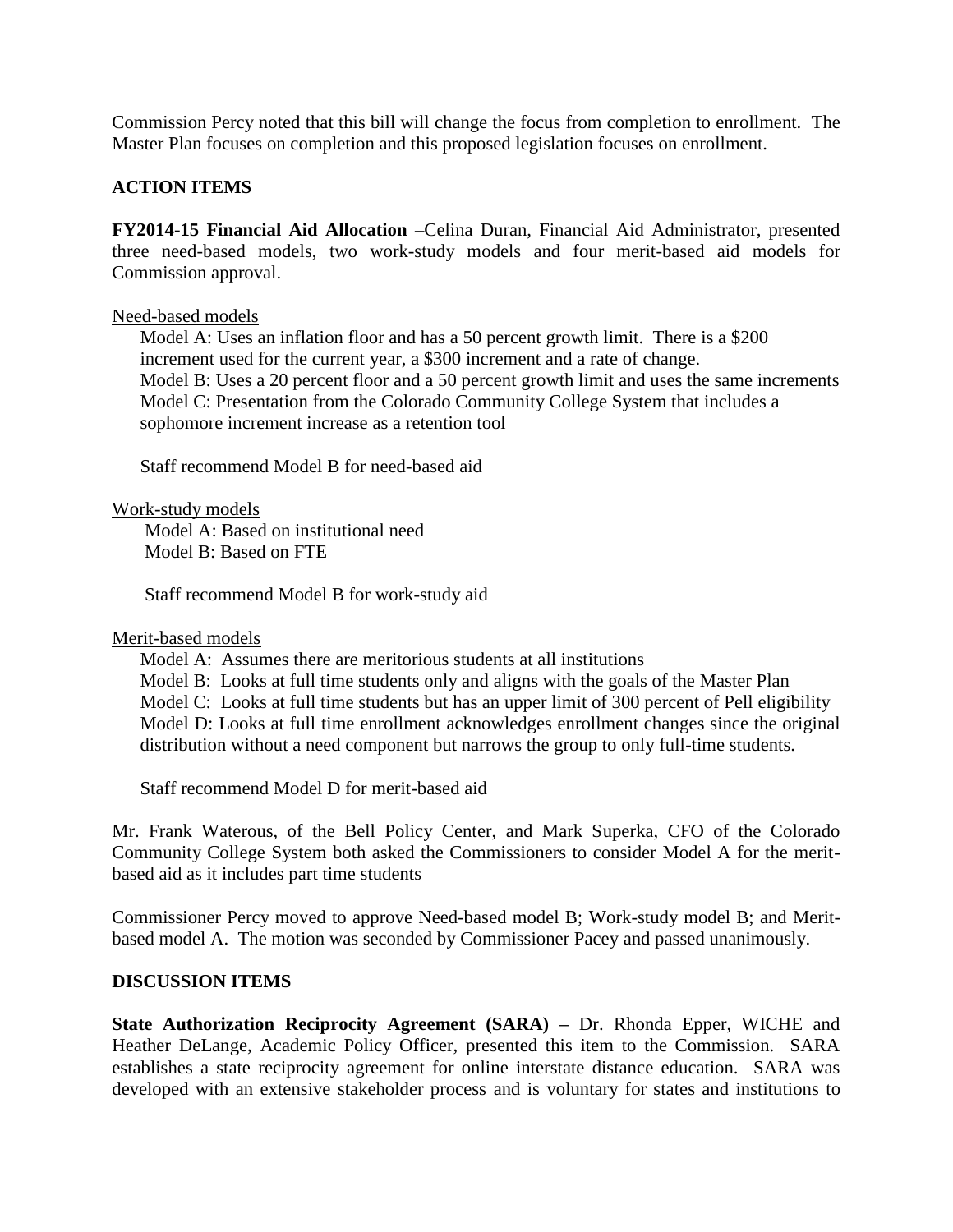Commission Percy noted that this bill will change the focus from completion to enrollment. The Master Plan focuses on completion and this proposed legislation focuses on enrollment.

# **ACTION ITEMS**

**FY2014-15 Financial Aid Allocation** –Celina Duran, Financial Aid Administrator, presented three need-based models, two work-study models and four merit-based aid models for Commission approval.

#### Need-based models

Model A: Uses an inflation floor and has a 50 percent growth limit. There is a \$200 increment used for the current year, a \$300 increment and a rate of change. Model B: Uses a 20 percent floor and a 50 percent growth limit and uses the same increments Model C: Presentation from the Colorado Community College System that includes a sophomore increment increase as a retention tool

Staff recommend Model B for need-based aid

Work-study models

Model A: Based on institutional need Model B: Based on FTE

Staff recommend Model B for work-study aid

Merit-based models

Model A: Assumes there are meritorious students at all institutions

Model B: Looks at full time students only and aligns with the goals of the Master Plan Model C: Looks at full time students but has an upper limit of 300 percent of Pell eligibility Model D: Looks at full time enrollment acknowledges enrollment changes since the original distribution without a need component but narrows the group to only full-time students.

Staff recommend Model D for merit-based aid

Mr. Frank Waterous, of the Bell Policy Center, and Mark Superka, CFO of the Colorado Community College System both asked the Commissioners to consider Model A for the meritbased aid as it includes part time students

Commissioner Percy moved to approve Need-based model B; Work-study model B; and Meritbased model A. The motion was seconded by Commissioner Pacey and passed unanimously.

## **DISCUSSION ITEMS**

**State Authorization Reciprocity Agreement (SARA) –** Dr. Rhonda Epper, WICHE and Heather DeLange, Academic Policy Officer, presented this item to the Commission. SARA establishes a state reciprocity agreement for online interstate distance education. SARA was developed with an extensive stakeholder process and is voluntary for states and institutions to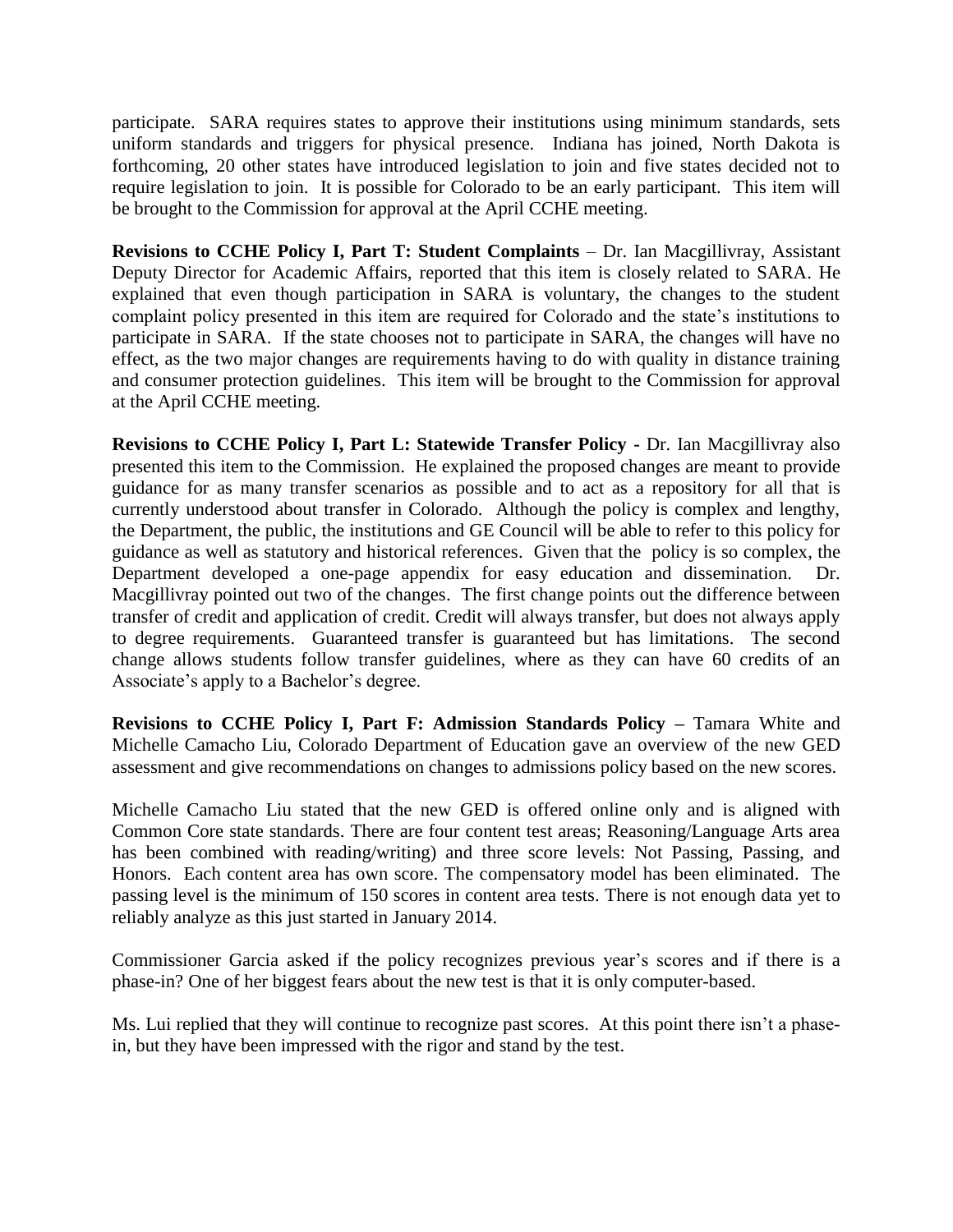participate. SARA requires states to approve their institutions using minimum standards, sets uniform standards and triggers for physical presence. Indiana has joined, North Dakota is forthcoming, 20 other states have introduced legislation to join and five states decided not to require legislation to join. It is possible for Colorado to be an early participant. This item will be brought to the Commission for approval at the April CCHE meeting.

**Revisions to CCHE Policy I, Part T: Student Complaints** – Dr. Ian Macgillivray, Assistant Deputy Director for Academic Affairs, reported that this item is closely related to SARA. He explained that even though participation in SARA is voluntary, the changes to the student complaint policy presented in this item are required for Colorado and the state's institutions to participate in SARA. If the state chooses not to participate in SARA, the changes will have no effect, as the two major changes are requirements having to do with quality in distance training and consumer protection guidelines. This item will be brought to the Commission for approval at the April CCHE meeting.

**Revisions to CCHE Policy I, Part L: Statewide Transfer Policy -** Dr. Ian Macgillivray also presented this item to the Commission. He explained the proposed changes are meant to provide guidance for as many transfer scenarios as possible and to act as a repository for all that is currently understood about transfer in Colorado. Although the policy is complex and lengthy, the Department, the public, the institutions and GE Council will be able to refer to this policy for guidance as well as statutory and historical references. Given that the policy is so complex, the Department developed a one-page appendix for easy education and dissemination. Dr. Macgillivray pointed out two of the changes. The first change points out the difference between transfer of credit and application of credit. Credit will always transfer, but does not always apply to degree requirements. Guaranteed transfer is guaranteed but has limitations. The second change allows students follow transfer guidelines, where as they can have 60 credits of an Associate's apply to a Bachelor's degree.

**Revisions to CCHE Policy I, Part F: Admission Standards Policy –** Tamara White and Michelle Camacho Liu, Colorado Department of Education gave an overview of the new GED assessment and give recommendations on changes to admissions policy based on the new scores.

Michelle Camacho Liu stated that the new GED is offered online only and is aligned with Common Core state standards. There are four content test areas; Reasoning/Language Arts area has been combined with reading/writing) and three score levels: Not Passing, Passing, and Honors. Each content area has own score. The compensatory model has been eliminated. The passing level is the minimum of 150 scores in content area tests. There is not enough data yet to reliably analyze as this just started in January 2014.

Commissioner Garcia asked if the policy recognizes previous year's scores and if there is a phase-in? One of her biggest fears about the new test is that it is only computer-based.

Ms. Lui replied that they will continue to recognize past scores. At this point there isn't a phasein, but they have been impressed with the rigor and stand by the test.